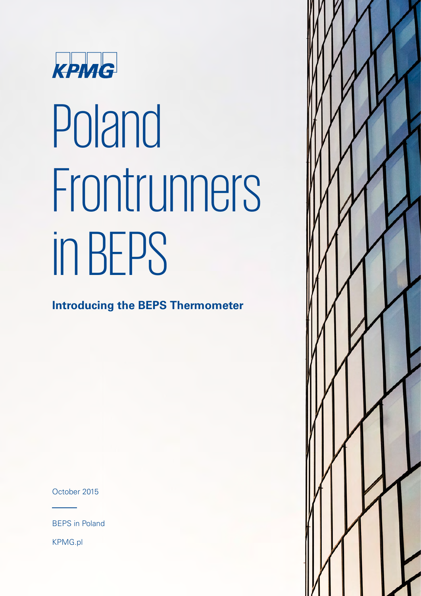

# Poland Frontrunners in BEPS

**Introducing the BEPS Thermometer**

October 2015

BEPS in Poland

KPMG.pl

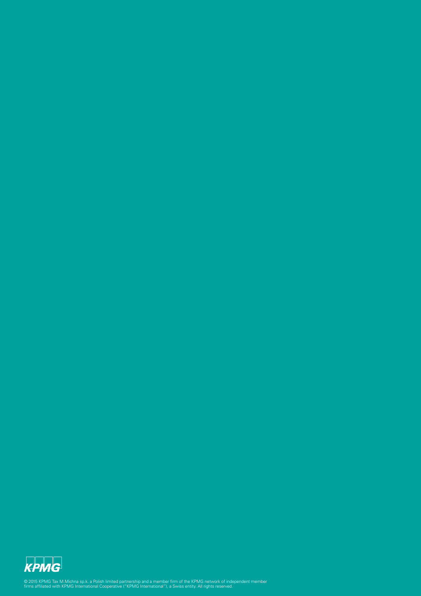

© 2015 KPMG Tax M.Michna sp.k. a Polish limited partnership and a member firm of the KPMG network of independent member<br>firms affiliated with KPMG International Cooperative ("KPMG International"), a Swiss entity. All right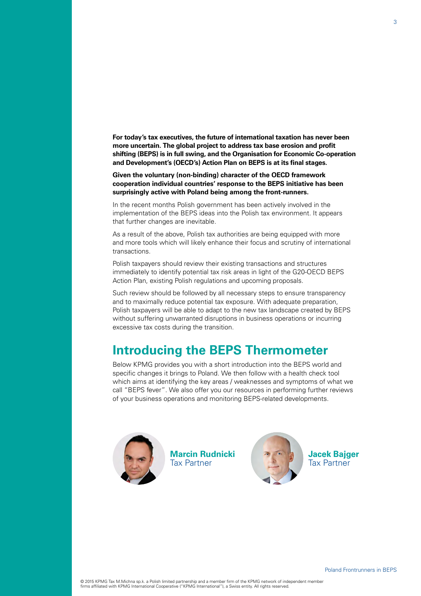**For today's tax executives, the future of international taxation has never been more uncertain. The global project to address tax base erosion and profit shifting (BEPS) is in full swing, and the Organisation for Economic Co-operation and Development's (OECD's) Action Plan on BEPS is at its final stages.**

**Given the voluntary (non-binding) character of the OECD framework cooperation individual countries' response to the BEPS initiative has been surprisingly active with Poland being among the front-runners.**

In the recent months Polish government has been actively involved in the implementation of the BEPS ideas into the Polish tax environment. It appears that further changes are inevitable.

As a result of the above, Polish tax authorities are being equipped with more and more tools which will likely enhance their focus and scrutiny of international transactions.

Polish taxpayers should review their existing transactions and structures immediately to identify potential tax risk areas in light of the G20-OECD BEPS Action Plan, existing Polish regulations and upcoming proposals.

Such review should be followed by all necessary steps to ensure transparency and to maximally reduce potential tax exposure. With adequate preparation, Polish taxpayers will be able to adapt to the new tax landscape created by BEPS without suffering unwarranted disruptions in business operations or incurring excessive tax costs during the transition.

### **Introducing the BEPS Thermometer**

Below KPMG provides you with a short introduction into the BEPS world and specific changes it brings to Poland. We then follow with a health check tool which aims at identifying the key areas / weaknesses and symptoms of what we call "BEPS fever". We also offer you our resources in performing further reviews of your business operations and monitoring BEPS-related developments.



**Marcin Rudnicki** Tax Partner



**Jacek Bajger** Tax Partner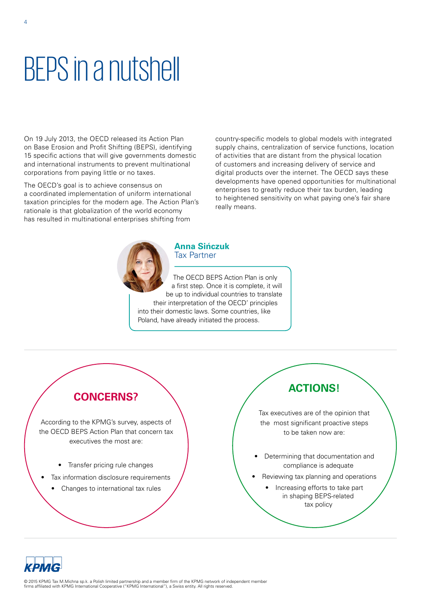### BEPS in a nutshell

On 19 July 2013, the OECD released its Action Plan on Base Erosion and Profit Shifting (BEPS), identifying 15 specific actions that will give governments domestic and international instruments to prevent multinational corporations from paying little or no taxes.

The OECD's goal is to achieve consensus on a coordinated implementation of uniform international taxation principles for the modern age. The Action Plan's rationale is that globalization of the world economy has resulted in multinational enterprises shifting from

country-specific models to global models with integrated supply chains, centralization of service functions, location of activities that are distant from the physical location of customers and increasing delivery of service and digital products over the internet. The OECD says these developments have opened opportunities for multinational enterprises to greatly reduce their tax burden, leading to heightened sensitivity on what paying one's fair share really means.



### **Anna Sińczuk** Tax Partner

The OECD BEPS Action Plan is only a first step. Once it is complete, it will be up to individual countries to translate their interpretation of the OECD' principles into their domestic laws. Some countries, like Poland, have already initiated the process.



According to the KPMG's survey, aspects of the OECD BEPS Action Plan that concern tax executives the most are:

- Transfer pricing rule changes
- Tax information disclosure requirements
	- Changes to international tax rules

### **ACTIONS!**

Tax executives are of the opinion that the most significant proactive steps to be taken now are:

- Determining that documentation and compliance is adequate
- Reviewing tax planning and operations
	- Increasing efforts to take part in shaping BEPS-related tax policy

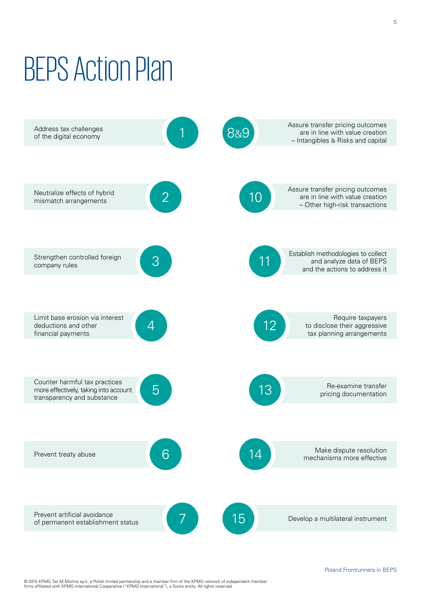## BEPS Action Plan



© 2015 KPMG Tax M.Michna sp.k. a Polish limited partnership and a member firm of the KPMG network of independent member<br>firms affiliated with KPMG International Cooperative ("KPMG International"), a Swiss entity. All right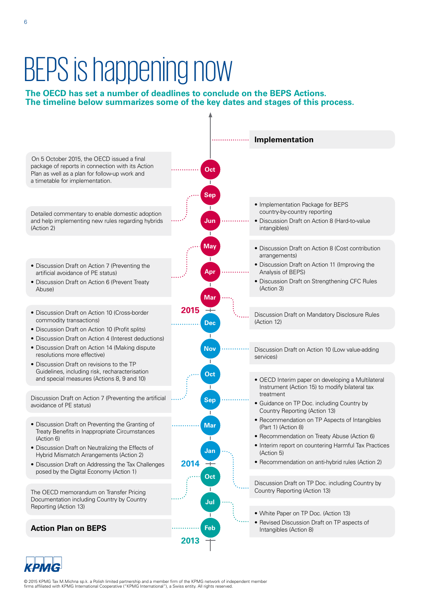### BEPS is happening now

### **The OECD has set a number of deadlines to conclude on the BEPS Actions. The timeline below summarizes some of the key dates and stages of this process.**



**СРМС** 

© 2015 KPMG Tax M.Michna sp.k. a Polish limited partnership and a member firm of the KPMG network of independent member<br>firms affiliated with KPMG International Cooperative ("KPMG International"), a Swiss entity. All right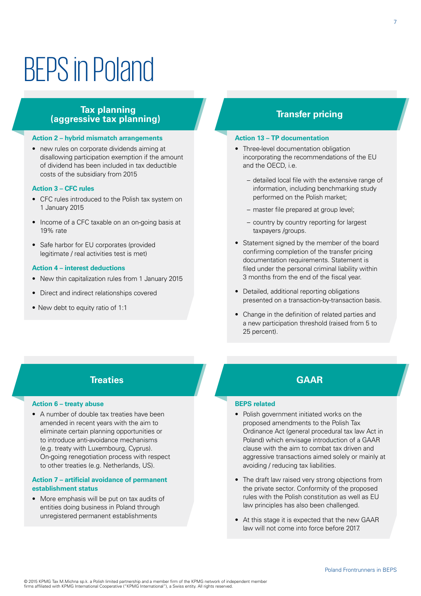### BEPS in Poland

### **Tax planning (aggressive tax planning)**

### **Action 2 – hybrid mismatch arrangements**

• new rules on corporate dividends aiming at disallowing participation exemption if the amount of dividend has been included in tax deductible costs of the subsidiary from 2015

#### **Action 3 – CFC rules**

- CFC rules introduced to the Polish tax system on 1 January 2015
- Income of a CFC taxable on an on-going basis at 19% rate
- Safe harbor for EU corporates (provided legitimate / real activities test is met)

### **Action 4 – interest deductions**

- New thin capitalization rules from 1 January 2015
- Direct and indirect relationships covered
- New debt to equity ratio of 1:1

### **Transfer pricing**

#### **Action 13 – TP documentation**

- Three-level documentation obligation incorporating the recommendations of the EU and the OECD, i.e.
	- detailed local file with the extensive range of information, including benchmarking study performed on the Polish market;
	- master file prepared at group level;
	- country by country reporting for largest taxpayers /groups.
- Statement signed by the member of the board confirming completion of the transfer pricing documentation requirements. Statement is filed under the personal criminal liability within 3 months from the end of the fiscal year.
- Detailed, additional reporting obligations presented on a transaction-by-transaction basis.
- Change in the definition of related parties and a new participation threshold (raised from 5 to 25 percent).

### **Treaties**

### **Action 6 – treaty abuse**

• A number of double tax treaties have been amended in recent years with the aim to eliminate certain planning opportunities or to introduce anti-avoidance mechanisms (e.g. treaty with Luxembourg, Cyprus). On-going renegotiation process with respect to other treaties (e.g. Netherlands, US).

### **Action 7 – artificial avoidance of permanent establishment status**

• More emphasis will be put on tax audits of entities doing business in Poland through unregistered permanent establishments

### **GAAR**

### **BEPS related**

- Polish government initiated works on the proposed amendments to the Polish Tax Ordinance Act (general procedural tax law Act in Poland) which envisage introduction of a GAAR clause with the aim to combat tax driven and aggressive transactions aimed solely or mainly at avoiding / reducing tax liabilities.
- The draft law raised very strong objections from the private sector. Conformity of the proposed rules with the Polish constitution as well as EU law principles has also been challenged.
- At this stage it is expected that the new GAAR law will not come into force before 2017.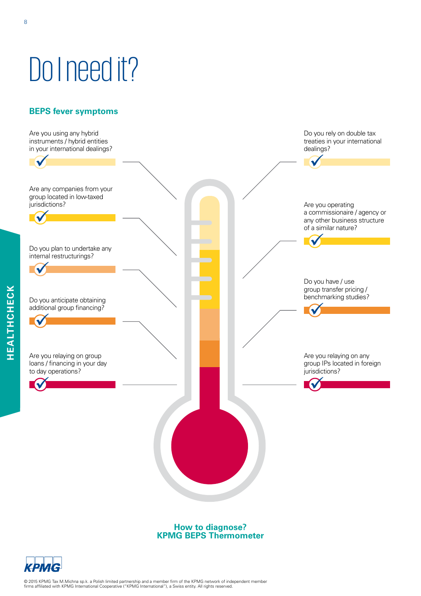# Do I need it?

### **BEPS fever symptoms**



**KPMG BEPS Thermometer**

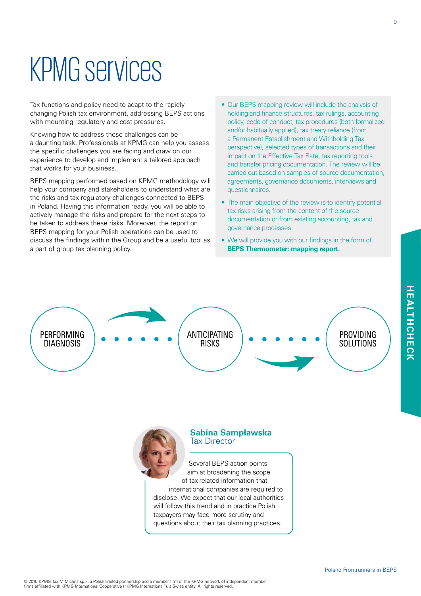### KPMG services

Tax functions and policy need to adapt to the rapidly changing Polish tax environment, addressing BEPS actions with mounting regulatory and cost pressures.

Knowing how to address these challenges can be a daunting task. Professionals at KPMG can help you assess the specific challenges you are facing and draw on our experience to develop and implement a tailored approach that works for your business.

BEPS mapping performed based on KPMG methodology will help your company and stakeholders to understand what are the risks and tax regulatory challenges connected to BEPS in Poland. Having this information ready, you will be able to actively manage the risks and prepare for the next steps to be taken to address these risks. Moreover, the report on BEPS mapping for your Polish operations can be used to discuss the findings within the Group and be a useful tool as a part of group tax planning policy.

- Our BEPS mapping review will include the analysis of holding and finance structures, tax rulings, accounting policy, code of conduct, tax procedures (both formalized and/or habitually applied), tax treaty reliance (from a Permanent Establishment and Withholding Tax perspective), selected types of transactions and their impact on the Effective Tax Rate, tax reporting tools and transfer pricing documentation. The review will be carried out based on samples of source documentation, agreements, governance documents, interviews and questionnaires.
- The main objective of the review is to identify potential tax risks arising from the content of the source documentation or from existing accounting, tax and governance processes.
- We will provide you with our findings in the form of **BEPS Thermometer: mapping report.**





### **Sabina Sampławska** Tax Director

Several BEPS action points aim at broadening the scope of tax-related information that international companies are required to disclose. We expect that our local authorities will follow this trend and in practice Polish taxpayers may face more scrutiny and questions about their tax planning practices.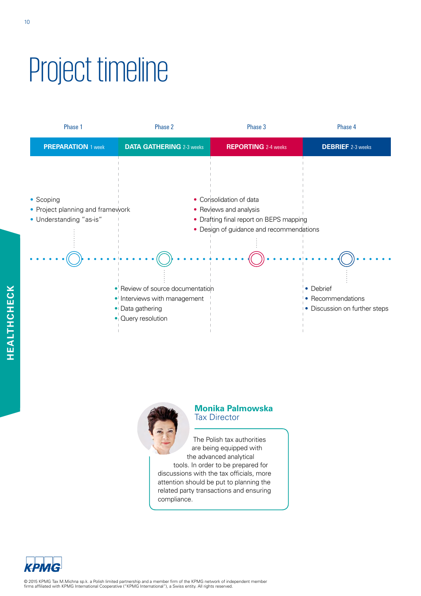## Project timeline





### **Monika Palmowska** Tax Director

The Polish tax authorities are being equipped with the advanced analytical tools. In order to be prepared for discussions with the tax officials, more attention should be put to planning the related party transactions and ensuring compliance.

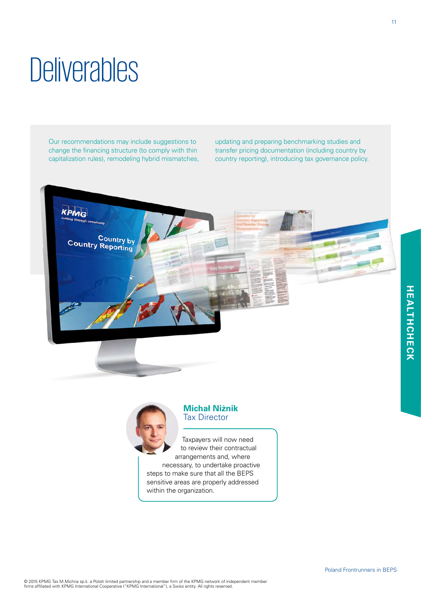11

### © 2015 KPMG Tax M.Michna sp.k. a Polish limited partnership and a member firm of the KPMG network of independent member<br>firms affiliated with KPMG International Cooperative ("KPMG International"), a Swiss entity. All right

### **Deliverables**

Our recommendations may include suggestions to change the financing structure (to comply with thin capitalization rules), remodeling hybrid mismatches, updating and preparing benchmarking studies and transfer pricing documentation (including country by country reporting), introducing tax governance policy.





### **Michał Niżnik** Tax Director

Taxpayers will now need to review their contractual arrangements and, where necessary, to undertake proactive steps to make sure that all the BEPS sensitive areas are properly addressed within the organization.